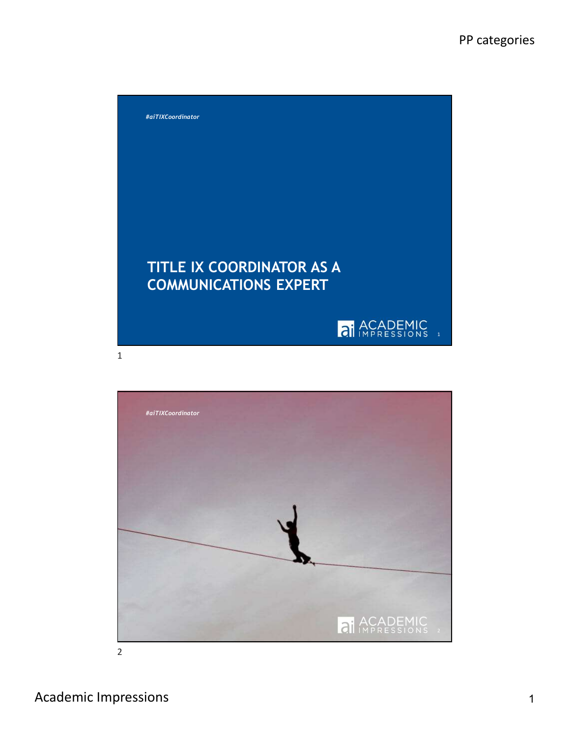

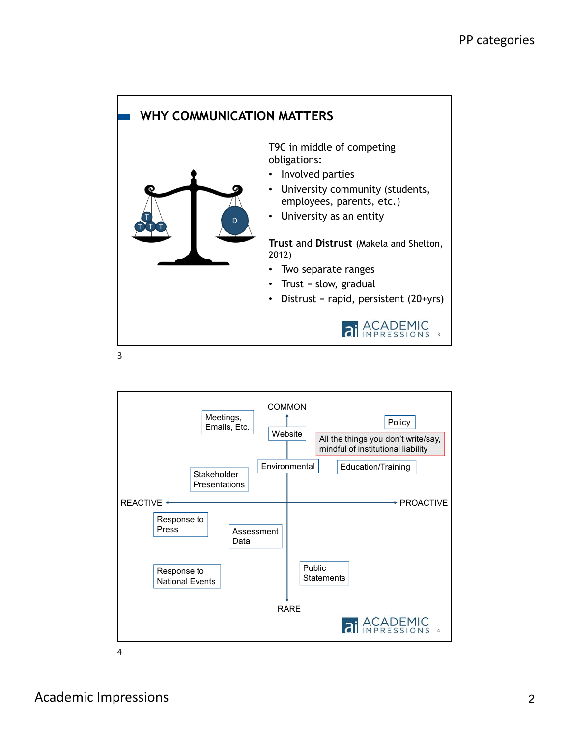

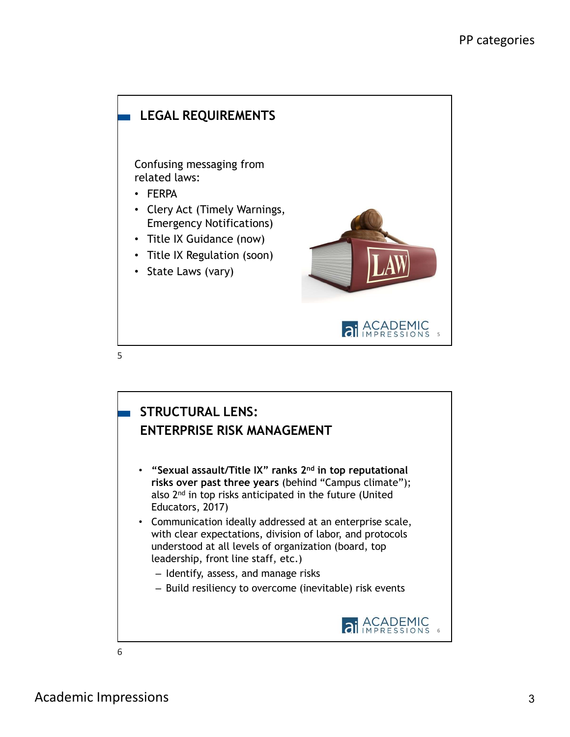

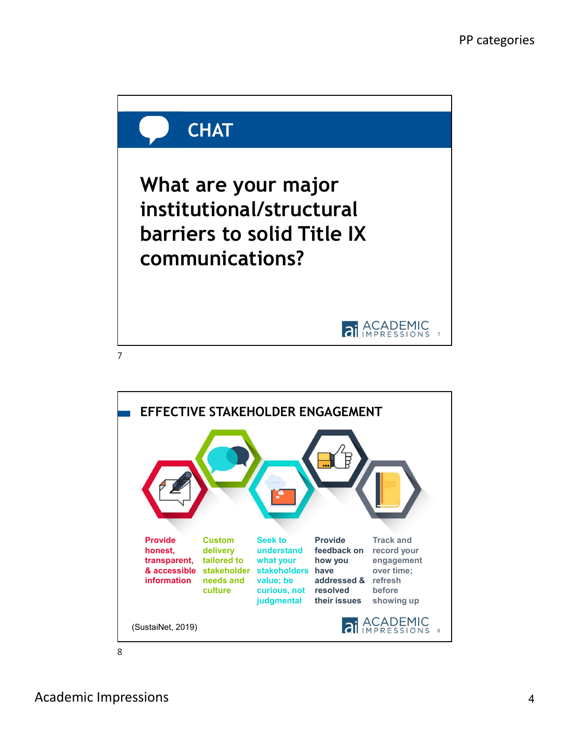

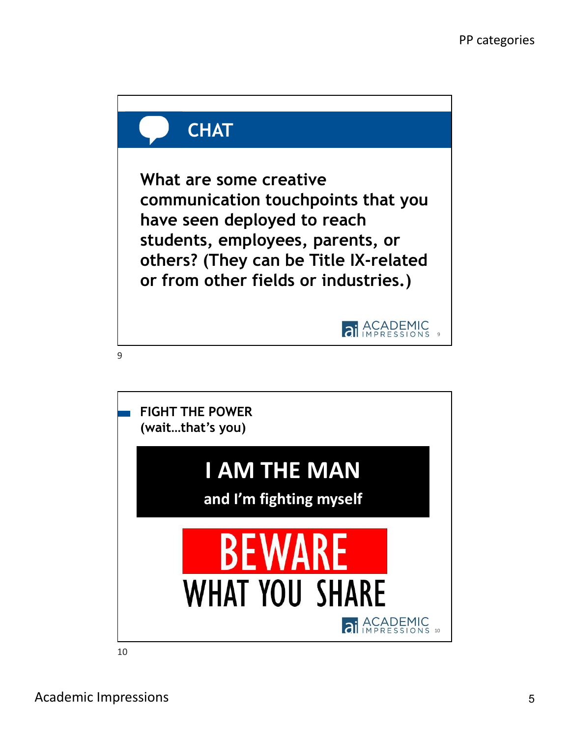

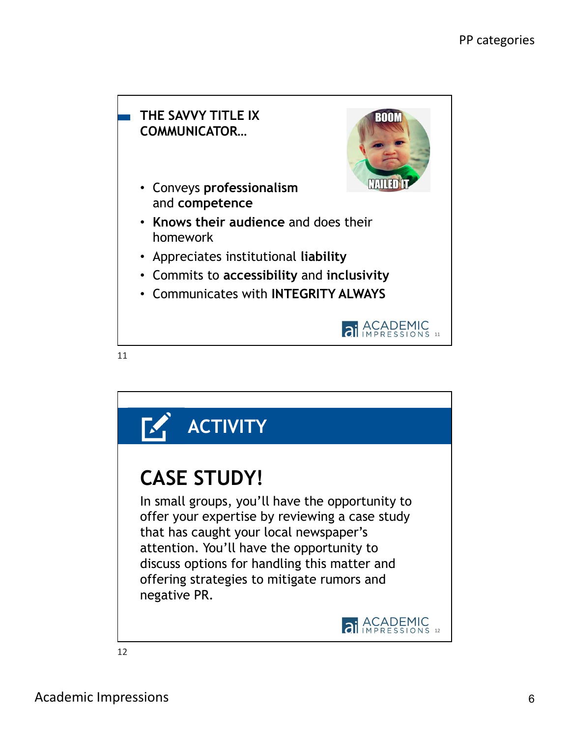